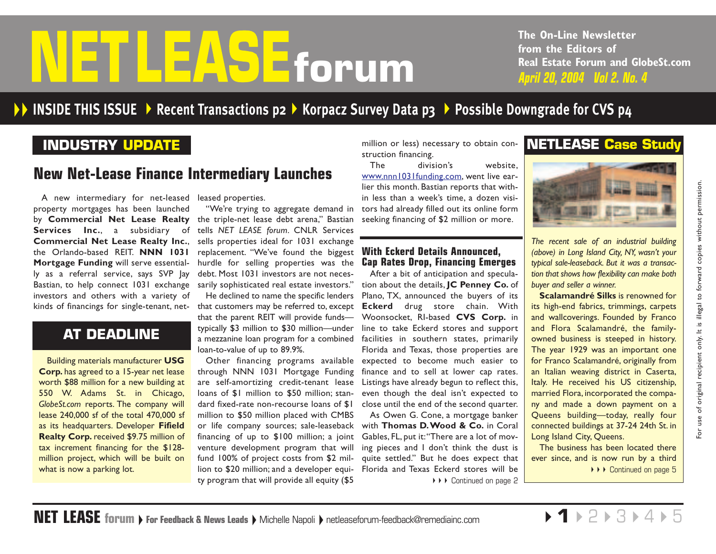# <span id="page-0-0"></span>**from the Editors of**<br>**FOPUM**<br>**April 20, 2004 Vol 2. No. 4**

**The On-Line Newsletter from the Editors of Real Estate Forum and GlobeSt.com**

# **INSIDE THIS ISSUE [Recent Transactions p2](#page-1-0) [Korpacz Survey Data p3](#page-2-0)  [Possible Downgrade for CVS p4](#page-3-0)**

# **INDUSTRY UPDATE**

# **New Net-Lease Finance Intermediary Launches**

A new intermediary for net-leased leased properties. property mortgages has been launched by **Commercial Net Lease Realty** the triple-net lease debt arena," Bastian **Services Inc.**, <sup>a</sup> subsidiary of **Commercial Net Lease Realty Inc.**, the Orlando-based REIT. **NNN 1031 Mortgage Funding** will serve essentially as a referral service, says SVP Jay Bastian, to help connect 1031 exchange sarily sophisticated real estate investors." investors and others with a variety of kinds of financings for single-tenant, net-

# **AT DEADLINE**

tax increment financing for the \$128 million project, which will be built on what is now a parking lot.

"We're trying to aggregate demand in tells *NET LEASE forum*. CNLR Services sells properties ideal for 1031 exchange replacement. "We've found the biggest hurdle for selling properties was the debt. Most 1031 investors are not neces-

He declined to name the specific lenders that customers may be referred to, excep<sup>t</sup> **Eckerd** drug store chain. With that the parent REIT will provide funds typically \$3 million to \$30 million—under line to take Eckerd stores and support a mezzanine loan program for a combined facilities in southern states, primarily loan-to-value of up to 89.9%.

through NNN 1031 Mortgage Funding are self-amortizing credit-tenant lease Listings have already begun to reflect this, loans of \$1 million to \$50 million; standard fixed-rate non-recourse loans of \$1 close until the end of the second quarter. million to \$50 million placed with CMBS or life company sources; sale-leaseback with **Thomas D.Wood & Co.** in Coral financing of up to \$100 million; a joint venture development program that will fund 100% of project costs from \$2 million to \$20 million; and a developer equity program that will provide all equity (\$5

million or less) necessary to obtain construction financing.

The division's website, [www.nnn1031funding.com,](www.nnn1031funding.com) went live earlier this month. Bastian reports that within less than a week's time, a dozen visitors had already filled out its online form seeking financing of \$2 million or more.

# **With Eckerd Details Announced, Cap Rates Drop, Financing Emerges**

Other financing programs available expected to become much easier to After a bit of anticipation and speculation about the details, **JC Penney Co.** of Plano, TX, announced the buyers of its Woonsocket, RI-based **CVS Corp.** in Florida and Texas, those properties are finance and to sell at lower cap rates. even though the deal isn't expected to

As Owen G. Cone, a mortgage banker Gables, FL, put it:"There are a lot of moving pieces and I don't think the dust is quite settled." But he does expect that Florida and Texas Eckerd stores will be ▶▶▶ [Continued on page 2](#page-1-0)

# **NETLEASE Case Study**



*The recent sale of an industrial building (above) in Long Island City, NY, wasn't your typical sale-leaseback. But it was a transaction that shows how flexibility can make both buyer and seller a winner.*

**Scalamandré Silks** is renowned for its high-end fabrics, trimmings, carpets and wallcoverings. Founded by Franco and Flora Scalamandré, the familyowned business is steeped in history. The year 1929 was an important one for Franco Scalamandré, originally from an Italian weaving district in Caserta, Italy. He received his US citizenship, married Flora, incorporated the company and made a down payment on a Queens building—today, really four connected buildings at 37-24 24th St. in Long Island City, Queens. A new intermediary for net-leased leased properties.<br>
The this month. Bastian newslet time, a dozen wisi-<br>
roommercial Net Lease Ready the cripter cripter of scale of the cristal area of the station of the station of the s

The business has been located there ever since, and is now run by a third ▶▶▶ [Continued on page 5](#page-4-0)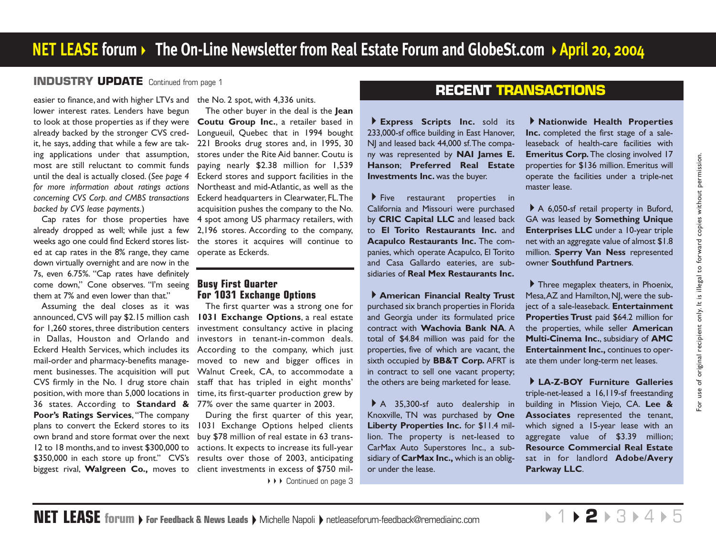# <span id="page-1-0"></span>**[INDUSTRY UPDATE](#page-0-0)** Continued from page 1

lower interest rates. Lenders have begun to look at those properties as if they were **Coutu Group Inc.**, <sup>a</sup> retailer based in already backed by the stronger CVS credit, he says, adding that while a few are taking applications under that assumption, most are still reluctant to commit funds until the deal is actually closed. (*See page 4 for more information about ratings actions concerning CVS Corp. and CMBS transactions backed by CVS lease payments.*)

Cap rates for those properties have already dropped as well; while just a few weeks ago one could find Eckerd stores listed at cap rates in the 8% range, they came operate as Eckerds. down virtually overnight and are now in the 7s, even 6.75%. "Cap rates have definitely come down," Cone observes. "I'm seeing them at 7% and even lower than that."

Assuming the deal closes as it was announced, CVS will pay \$2.15 million cash for 1,260 stores, three distribution centers in Dallas, Houston and Orlando and Eckerd Health Services, which includes its mail-order and pharmacy-benefits management businesses. The acquisition will put CVS firmly in the No. 1 drug store chain position, with more than 5,000 locations in 36 states. According to **Standard &** 77% over the same quarter in 2003. **Poor's Ratings Services**, "The company plans to convert the Eckerd stores to its 1031 Exchange Options helped clients own brand and store format over the next buy \$78 million of real estate in 63 trans-12 to 18 months,and to invest \$300,000 to actions. It expects to increase its full-year \$350,000 in each store up front." CVS's results over those of 2003, anticipating biggest rival, **Walgreen Co.,** moves to client investments in excess of \$750 mil-

easier to finance, and with higher LTVs and the No. 2 spot, with 4,336 units.

The other buyer in the deal is the **Jean** Longueuil, Quebec that in 1994 bought 221 Brooks drug stores and, in 1995, 30 stores under the Rite Aid banner. Coutu is paying nearly \$2.38 million for 1,539 Eckerd stores and support facilities in the Northeast and mid-Atlantic, as well as the Eckerd headquarters in Clearwater, FL.The acquisition pushes the company to the No. 4 spot among US pharmacy retailers, with 2,196 stores. According to the company, the stores it acquires will continue to

### **Busy First Quarter For 1031 Exchange Options**

The first quarter was a strong one for **1031 Exchange Options**, <sup>a</sup> real estate investment consultancy active in placing investors in tenant-in-common deals. According to the company, which just moved to new and bigger offices in Walnut Creek, CA, to accommodate a staff that has tripled in eight months' time, its first-quarter production grew by

During the first quarter of this year, ◆ ▶ ▶ [Continued on page 3](#page-2-0)

# **RECENT TRANSACTIONS**

**Express Scripts Inc.** sold its 233,000-sf office building in East Hanover, NJ and leased back 44,000 sf. The company was represented by **NAI James E. Hanson**; **Preferred Real Estate Investments Inc.** was the buyer.

 $\blacktriangleright$  Five restaurant properties in California and Missouri were purchased by **CRIC Capital LLC** and leased back to **El Torito Restaurants Inc.** and **Acapulco Restaurants Inc.** The companies, which operate Acapulco, El Torito and Casa Gallardo eateries, are subsidiaries of **Real Mex Restaurants Inc.**

**American Financial Realty Trust** purchased six branch properties in Florida and Georgia under its formulated price contract with **Wachovia Bank NA**. A total of \$4.84 million was paid for the properties, five of which are vacant, the sixth occupied by **BB&T Corp.** AFRT is in contract to sell one vacant property; the others are being marketed for lease.

A 35,300-sf auto dealership in Knoxville, TN was purchased by **One Liberty Properties Inc.** for \$11.4 million. The property is net-leased to CarMax Auto Superstores Inc., a subsidiary of **CarMax Inc.,** which is an obligor under the lease.

**Nationwide Health Properties Inc.** completed the first stage of a saleleaseback of health-care facilities with **Emeritus Corp.** The closing involved 17 properties for \$136 million. Emeritus will operate the facilities under a triple-net master lease.

A 6,050-sf retail property in Buford, GA was leased by **Something Unique Enterprises LLC** under a 10-year triple net with an aggregate value of almost \$1.8 million. **Sperry Van Ness** represented owner **Southfund Partners**.

Three megaplex theaters, in Phoenix, Mesa, AZ and Hamilton, NJ, were the subject of a sale-leaseback. **Entertainment Properties Trust** paid \$64.2 million for the properties, while seller **American Multi-Cinema Inc.**, subsidiary of **AMC Entertainment Inc.,** continues to operate them under long-term net leases.

**LA-Z-BOY Furniture Galleries** triple-net-leased a 16,119-sf freestanding building in Mission Viejo, CA. **Lee & Associates** represented the tenant, which signed a 15-year lease with an aggregate value of \$3.39 million; **Resource Commercial Real Estate** sat in for landlord **Adobe/Avery Parkway LLC**.

 $\triangleright$ 1 $\triangleright$ **2** $\triangleright$ [3](#page-2-0) $\triangleright$ [4](#page-3-0) $\triangleright$ [5](#page-4-0)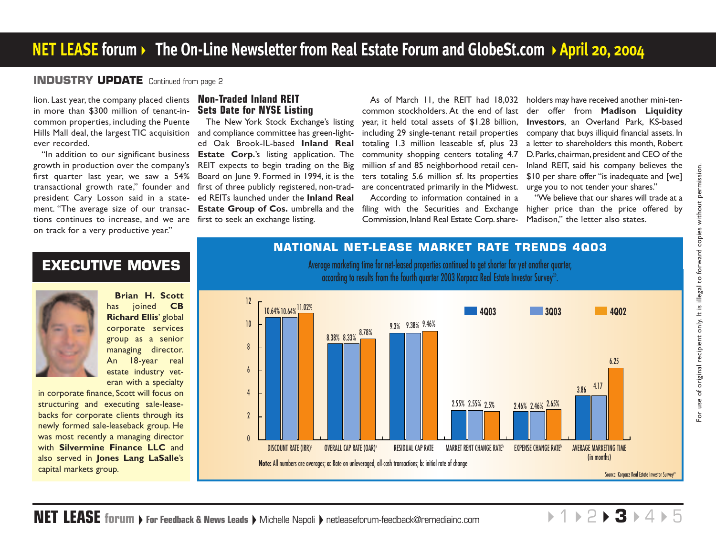# <span id="page-2-0"></span>**[INDUSTRY UPDATE](#page-1-0)** Continued from page 2

lion. Last year, the company placed clients in more than \$300 million of tenant-incommon properties, including the Puente Hills Mall deal, the largest TIC acquisition ever recorded.

growth in production over the company's first quarter last year, we saw a 54% transactional growth rate," founder and president Cary Losson said in a statement. "The average size of our transactions continues to increase, and we are first to seek an exchange listing. on track for a very productive year."

# **Non-Traded Inland REIT Sets Date for NYSE Listing**

"In addition to our significant business **Estate Corp.**'s listing application. The The New York Stock Exchange's listing and compliance committee has green-lighted Oak Brook-IL-based **Inland Real** REIT expects to begin trading on the Big Board on June 9. Formed in 1994, it is the first of three publicly registered, non-traded REITs launched under the **Inland Real Estate Group of Cos.** umbrella and the filing with the Securities and Exchange higher price than the price offered by

year, it held total assets of \$1.28 billion, including 29 single-tenant retail properties totaling 1.3 million leaseable sf, plus 23 community shopping centers totaling 4.7 million sf and 85 neighborhood retail centers totaling 5.6 million sf. Its properties are concentrated primarily in the Midwest. urge you to not tender your shares." According to information contained in a Commission, Inland Real Estate Corp. share-

As of March 11, the REIT had 18,032 holders may have received another mini-ten common stockholders. At the end of last der offer from **Madison Liquidity Investors**, an Overland Park, KS-based company that buys illiquid financial assets. In a letter to shareholders this month, Robert D. Parks, chairman, president and CEO of the Inland REIT, said his company believes the \$10 per share offer "is inadequate and [we]

> "We believe that our shares will trade at a Madison," the letter also states.

# **EXECUTIVE MOVES**

**Brian H. Scott** has joined **CB Richard Ellis**' global corporate services group as a senior managing director. An 18-year real estate industry veteran with a specialty

in corporate finance, Scott will focus on structuring and executing sale-leasebacks for corporate clients through its newly formed sale-leaseback group. He was most recently a managing director with **Silvermine Finance LLC** and also served in **Jones Lang LaSalle**'s capital markets group.

# **NATIONAL NET-LEASE MARKET RATE TRENDS 4Q03**

Average marketing time for net-leased properties continued to get shorter for yet another quarter, according to results from the fourth quarter 2003 Korpacz Real Estate Investor Survey®.



 $+1$   $+2$  $+2$   $+$  3  $+4$  $+4$   $+5$  $+5$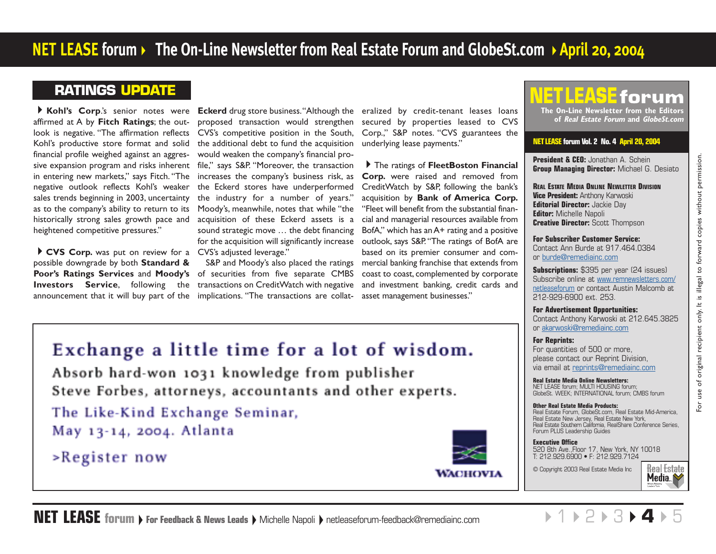# <span id="page-3-0"></span>**RATINGS UPDATE**

affirmed at A by **Fitch Ratings**; the outlook is negative. "The affirmation reflects CVS's competitive position in the South, Kohl's productive store format and solid financial profile weighed against an aggressive expansion program and risks inherent file," says S&P. "Moreover, the transaction in entering new markets," says Fitch. "The negative outlook reflects Kohl's weaker sales trends beginning in 2003, uncertainty as to the company's ability to return to its historically strong sales growth pace and heightened competitive pressures."

**CVS Corp.** was put on review for a CVS's adjusted leverage." possible downgrade by both **Standard &** announcement that it will buy part of the implications. "The transactions are collat- asset management businesses."

proposed transaction would strengthen the additional debt to fund the acquisition would weaken the company's financial proincreases the company's business risk, as the Eckerd stores have underperformed the industry for a number of years." Moody's, meanwhile, notes that while "the acquisition of these Eckerd assets is a sound strategic move … the debt financing for the acquisition will significantly increase

**Poor's Ratings Services** and **Moody's** of securities from five separate CMBS **Investors Service**, following the transactions on CreditWatch with negative S&P and Moody's also placed the ratings

**Kohl's Corp**.'s senior notes were **Eckerd** drug store business."Although the eralized by credit-tenant leases loans secured by properties leased to CVS Corp.," S&P notes. "CVS guarantees the underlying lease payments."

> The ratings of **FleetBoston Financial Corp.** were raised and removed from CreditWatch by S&P, following the bank's acquisition by **Bank of America Corp.** "Fleet will benefit from the substantial finan cial and managerial resources available from BofA," which has an A+ rating and a positive outlook, says S&P. "The ratings of BofA are based on its premier consumer and com mercial banking franchise that extends from coast to coast, complemented by corporate and investment banking, credit cards and

### s. TI EASE. **The On-Line Newsletter from the Editors**

**of Real Estate Forum and GlobeSt.com**

### **NETLEASE forum Vol. 2 No. 4 April 20, 2004**

**President & CEO:** Jonathan A. Schein **Group Managing Director:** Michael G. Desiato

**REAL ESTATE MEDIA ONLINE NEWLETTER DIVISION Vice President:** Anthony Karwoski **Editorial Director:** Jackie Day **Editor:** Michelle Napoli **Creative Director:** Scott Thompson

**For Subscriber Customer Service:**  Contact Ann Burde at 917.464.0384 [or burde@remediainc.com](mailto:burde@remediainc.com)

**Subscriptions:** \$395 per year (24 issues) [Subscribe online at www.remnewsletters.com/](http://new.remnewsletters.com/globenews_netlease.html) netleaseforum or contact Austin Malcomb at 212-929-6900 ext. 253.

**For Advertisement Opportunities:** Contact Anthony Karwoski at 212.645.3825 or [akarwoski@remediainc.com](mailto:akarwoski@remediainc.com)

### **For Reprints:**

For quantities of 500 or more, please contact our Reprint Division, via email a[t reprints@remediainc.com](mailto:reprints@remediainc.com)

**Real Estate Media Online Newsletters:** NET LEASE forum; MULTI HOUSING forum; GlobeSt. WEEK; INTERNATIONAL forum; CMBS forum

### **Other Real Estate Media Products:**

Real Estate Forum, GlobeSt.com, Real Estate Mid-America, Real Estate New Jersey, Real Estate New York, Real Estate Southern California, RealShare Conference Series, Forum PLUS Leadership Guides

### **Executive Office**

520 8th Ave.,Floor 17, New York, NY 10018 T: 212.929.6900 • F: 212.929.7124

© Copyright 2003 Real Estate Media Inc



# Exchange a little time for a lot of wisdom.

Absorb hard-won 1031 knowledge from publisher Steve Forbes, attorneys, accountants and other experts.

The Like-Kind Exchange Seminar, May 13-14, 2004. Atlanta

>Register now